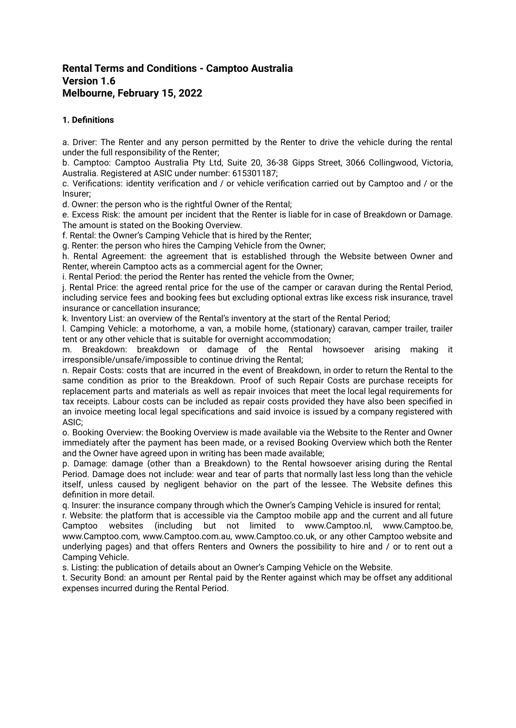# **Rental Terms and Conditions - Camptoo Australia Version 1.6 Melbourne, February 15, 2022**

# **1. Definitions**

a. Driver: The Renter and any person permitted by the Renter to drive the vehicle during the rental under the full responsibility of the Renter;

b. Camptoo: Camptoo Australia Pty Ltd, Suite 20, 36-38 Gipps Street, 3066 Collingwood, Victoria, Australia. Registered at ASIC under number: 615301187;

c. Verifications: identity verification and / or vehicle verification carried out by Camptoo and / or the Insurer;

d. Owner: the person who is the rightful Owner of the Rental;

e. Excess Risk: the amount per incident that the Renter is liable for in case of Breakdown or Damage. The amount is stated on the Booking Overview.

f. Rental: the Owner's Camping Vehicle that is hired by the Renter;

g. Renter: the person who hires the Camping Vehicle from the Owner;

h. Rental Agreement: the agreement that is established through the Website between Owner and Renter, wherein Camptoo acts as a commercial agent for the Owner;

i. Rental Period: the period the Renter has rented the vehicle from the Owner;

j. Rental Price: the agreed rental price for the use of the camper or caravan during the Rental Period, including service fees and booking fees but excluding optional extras like excess risk insurance, travel insurance or cancellation insurance;

k. Inventory List: an overview of the Rental's inventory at the start of the Rental Period;

l. Camping Vehicle: a motorhome, a van, a mobile home, (stationary) caravan, camper trailer, trailer tent or any other vehicle that is suitable for overnight accommodation;

m. Breakdown: breakdown or damage of the Rental howsoever arising making it irresponsible/unsafe/impossible to continue driving the Rental;

n. Repair Costs: costs that are incurred in the event of Breakdown, in order to return the Rental to the same condition as prior to the Breakdown. Proof of such Repair Costs are purchase receipts for replacement parts and materials as well as repair invoices that meet the local legal requirements for tax receipts. Labour costs can be included as repair costs provided they have also been specified in an invoice meeting local legal specifications and said invoice is issued by a company registered with ASIC;

o. Booking Overview: the Booking Overview is made available via the Website to the Renter and Owner immediately after the payment has been made, or a revised Booking Overview which both the Renter and the Owner have agreed upon in writing has been made available;

p. Damage: damage (other than a Breakdown) to the Rental howsoever arising during the Rental Period. Damage does not include: wear and tear of parts that normally last less long than the vehicle itself, unless caused by negligent behavior on the part of the lessee. The Website defines this definition in more detail.

q. Insurer: the insurance company through which the Owner's Camping Vehicle is insured for rental;

r. Website: the platform that is accessible via the Camptoo mobile app and the current and all future Camptoo websites (including but not limited to www.Camptoo.nl, www.Camptoo.be, www.Camptoo.com, www.Camptoo.com.au, www.Camptoo.co.uk, or any other Camptoo website and underlying pages) and that offers Renters and Owners the possibility to hire and / or to rent out a Camping Vehicle.

s. Listing: the publication of details about an Owner's Camping Vehicle on the Website.

t. Security Bond: an amount per Rental paid by the Renter against which may be offset any additional expenses incurred during the Rental Period.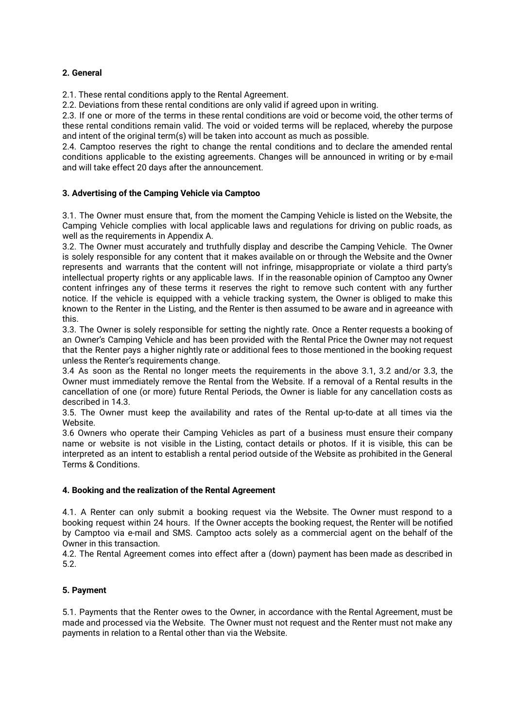# **2. General**

2.1. These rental conditions apply to the Rental Agreement.

2.2. Deviations from these rental conditions are only valid if agreed upon in writing.

2.3. If one or more of the terms in these rental conditions are void or become void, the other terms of these rental conditions remain valid. The void or voided terms will be replaced, whereby the purpose and intent of the original term(s) will be taken into account as much as possible.

2.4. Camptoo reserves the right to change the rental conditions and to declare the amended rental conditions applicable to the existing agreements. Changes will be announced in writing or by e-mail and will take effect 20 days after the announcement.

# **3. Advertising of the Camping Vehicle via Camptoo**

3.1. The Owner must ensure that, from the moment the Camping Vehicle is listed on the Website, the Camping Vehicle complies with local applicable laws and regulations for driving on public roads, as well as the requirements in Appendix A.

3.2. The Owner must accurately and truthfully display and describe the Camping Vehicle. The Owner is solely responsible for any content that it makes available on or through the Website and the Owner represents and warrants that the content will not infringe, misappropriate or violate a third party's intellectual property rights or any applicable laws. If in the reasonable opinion of Camptoo any Owner content infringes any of these terms it reserves the right to remove such content with any further notice. If the vehicle is equipped with a vehicle tracking system, the Owner is obliged to make this known to the Renter in the Listing, and the Renter is then assumed to be aware and in agreeance with this.

3.3. The Owner is solely responsible for setting the nightly rate. Once a Renter requests a booking of an Owner's Camping Vehicle and has been provided with the Rental Price the Owner may not request that the Renter pays a higher nightly rate or additional fees to those mentioned in the booking request unless the Renter's requirements change.

3.4 As soon as the Rental no longer meets the requirements in the above 3.1, 3.2 and/or 3.3, the Owner must immediately remove the Rental from the Website. If a removal of a Rental results in the cancellation of one (or more) future Rental Periods, the Owner is liable for any cancellation costs as described in 14.3.

3.5. The Owner must keep the availability and rates of the Rental up-to-date at all times via the Website.

3.6 Owners who operate their Camping Vehicles as part of a business must ensure their company name or website is not visible in the Listing, contact details or photos. If it is visible, this can be interpreted as an intent to establish a rental period outside of the Website as prohibited in the General Terms & Conditions.

# **4. Booking and the realization of the Rental Agreement**

4.1. A Renter can only submit a booking request via the Website. The Owner must respond to a booking request within 24 hours. If the Owner accepts the booking request, the Renter will be notified by Camptoo via e-mail and SMS. Camptoo acts solely as a commercial agent on the behalf of the Owner in this transaction.

4.2. The Rental Agreement comes into effect after a (down) payment has been made as described in 5.2.

# **5. Payment**

5.1. Payments that the Renter owes to the Owner, in accordance with the Rental Agreement, must be made and processed via the Website. The Owner must not request and the Renter must not make any payments in relation to a Rental other than via the Website.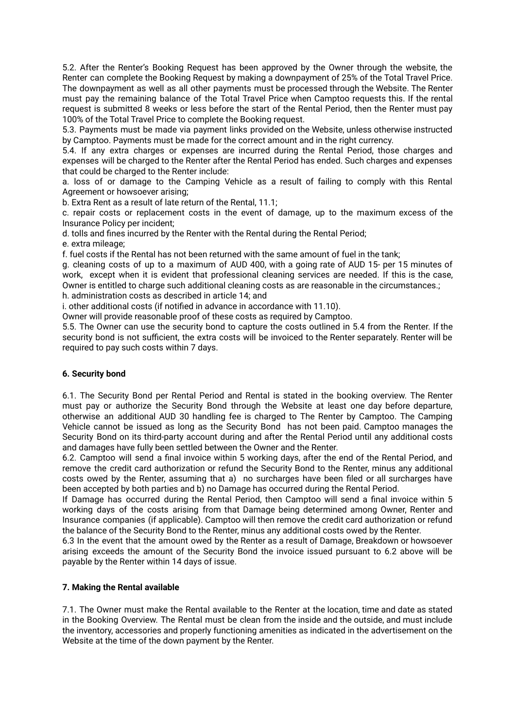5.2. After the Renter's Booking Request has been approved by the Owner through the website, the Renter can complete the Booking Request by making a downpayment of 25% of the Total Travel Price. The downpayment as well as all other payments must be processed through the Website. The Renter must pay the remaining balance of the Total Travel Price when Camptoo requests this. If the rental request is submitted 8 weeks or less before the start of the Rental Period, then the Renter must pay 100% of the Total Travel Price to complete the Booking request.

5.3. Payments must be made via payment links provided on the Website, unless otherwise instructed by Camptoo. Payments must be made for the correct amount and in the right currency.

5.4. If any extra charges or expenses are incurred during the Rental Period, those charges and expenses will be charged to the Renter after the Rental Period has ended. Such charges and expenses that could be charged to the Renter include:

a. loss of or damage to the Camping Vehicle as a result of failing to comply with this Rental Agreement or howsoever arising;

b. Extra Rent as a result of late return of the Rental, 11.1;

c. repair costs or replacement costs in the event of damage, up to the maximum excess of the Insurance Policy per incident;

d. tolls and fines incurred by the Renter with the Rental during the Rental Period;

e. extra mileage;

f. fuel costs if the Rental has not been returned with the same amount of fuel in the tank;

g. cleaning costs of up to a maximum of AUD 400, with a going rate of AUD 15- per 15 minutes of work, except when it is evident that professional cleaning services are needed. If this is the case, Owner is entitled to charge such additional cleaning costs as are reasonable in the circumstances.;

h. administration costs as described in article 14; and

i. other additional costs (if notified in advance in accordance with 11.10).

Owner will provide reasonable proof of these costs as required by Camptoo.

5.5. The Owner can use the security bond to capture the costs outlined in 5.4 from the Renter. If the security bond is not sufficient, the extra costs will be invoiced to the Renter separately. Renter will be required to pay such costs within 7 days.

# **6. Security bond**

6.1. The Security Bond per Rental Period and Rental is stated in the booking overview. The Renter must pay or authorize the Security Bond through the Website at least one day before departure, otherwise an additional AUD 30 handling fee is charged to The Renter by Camptoo. The Camping Vehicle cannot be issued as long as the Security Bond has not been paid. Camptoo manages the Security Bond on its third-party account during and after the Rental Period until any additional costs and damages have fully been settled between the Owner and the Renter.

6.2. Camptoo will send a final invoice within 5 working days, after the end of the Rental Period, and remove the credit card authorization or refund the Security Bond to the Renter, minus any additional costs owed by the Renter, assuming that a) no surcharges have been filed or all surcharges have been accepted by both parties and b) no Damage has occurred during the Rental Period.

If Damage has occurred during the Rental Period, then Camptoo will send a final invoice within 5 working days of the costs arising from that Damage being determined among Owner, Renter and Insurance companies (if applicable). Camptoo will then remove the credit card authorization or refund the balance of the Security Bond to the Renter, minus any additional costs owed by the Renter.

6.3 In the event that the amount owed by the Renter as a result of Damage, Breakdown or howsoever arising exceeds the amount of the Security Bond the invoice issued pursuant to 6.2 above will be payable by the Renter within 14 days of issue.

# **7. Making the Rental available**

7.1. The Owner must make the Rental available to the Renter at the location, time and date as stated in the Booking Overview. The Rental must be clean from the inside and the outside, and must include the inventory, accessories and properly functioning amenities as indicated in the advertisement on the Website at the time of the down payment by the Renter.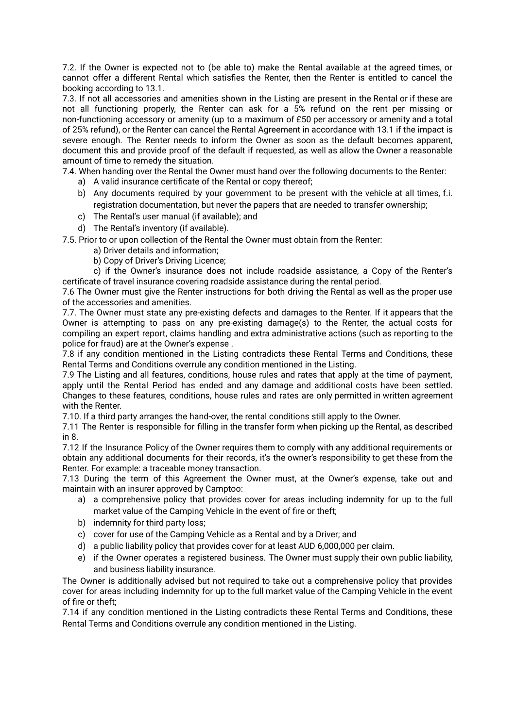7.2. If the Owner is expected not to (be able to) make the Rental available at the agreed times, or cannot offer a different Rental which satisfies the Renter, then the Renter is entitled to cancel the booking according to 13.1.

7.3. If not all accessories and amenities shown in the Listing are present in the Rental or if these are not all functioning properly, the Renter can ask for a 5% refund on the rent per missing or non-functioning accessory or amenity (up to a maximum of £50 per accessory or amenity and a total of 25% refund), or the Renter can cancel the Rental Agreement in accordance with 13.1 if the impact is severe enough. The Renter needs to inform the Owner as soon as the default becomes apparent, document this and provide proof of the default if requested, as well as allow the Owner a reasonable amount of time to remedy the situation.

7.4. When handing over the Rental the Owner must hand over the following documents to the Renter:

- a) A valid insurance certificate of the Rental or copy thereof;
- b) Any documents required by your government to be present with the vehicle at all times, f.i. registration documentation, but never the papers that are needed to transfer ownership;
- c) The Rental's user manual (if available); and
- d) The Rental's inventory (if available).

7.5. Prior to or upon collection of the Rental the Owner must obtain from the Renter:

- a) Driver details and information;
- b) Copy of Driver's Driving Licence;

c) if the Owner's insurance does not include roadside assistance, a Copy of the Renter's certificate of travel insurance covering roadside assistance during the rental period.

7.6 The Owner must give the Renter instructions for both driving the Rental as well as the proper use of the accessories and amenities.

7.7. The Owner must state any pre-existing defects and damages to the Renter. If it appears that the Owner is attempting to pass on any pre-existing damage(s) to the Renter, the actual costs for compiling an expert report, claims handling and extra administrative actions (such as reporting to the police for fraud) are at the Owner's expense .

7.8 if any condition mentioned in the Listing contradicts these Rental Terms and Conditions, these Rental Terms and Conditions overrule any condition mentioned in the Listing.

7.9 The Listing and all features, conditions, house rules and rates that apply at the time of payment, apply until the Rental Period has ended and any damage and additional costs have been settled. Changes to these features, conditions, house rules and rates are only permitted in written agreement with the Renter.

7.10. If a third party arranges the hand-over, the rental conditions still apply to the Owner.

7.11 The Renter is responsible for filling in the transfer form when picking up the Rental, as described in 8.

7.12 If the Insurance Policy of the Owner requires them to comply with any additional requirements or obtain any additional documents for their records, it's the owner's responsibility to get these from the Renter. For example: a traceable money transaction.

7.13 During the term of this Agreement the Owner must, at the Owner's expense, take out and maintain with an insurer approved by Camptoo:

- a) a comprehensive policy that provides cover for areas including indemnity for up to the full market value of the Camping Vehicle in the event of fire or theft;
- b) indemnity for third party loss;
- c) cover for use of the Camping Vehicle as a Rental and by a Driver; and
- d) a public liability policy that provides cover for at least AUD 6,000,000 per claim.
- e) if the Owner operates a registered business. The Owner must supply their own public liability, and business liability insurance.

The Owner is additionally advised but not required to take out a comprehensive policy that provides cover for areas including indemnity for up to the full market value of the Camping Vehicle in the event of fire or theft;

7.14 if any condition mentioned in the Listing contradicts these Rental Terms and Conditions, these Rental Terms and Conditions overrule any condition mentioned in the Listing.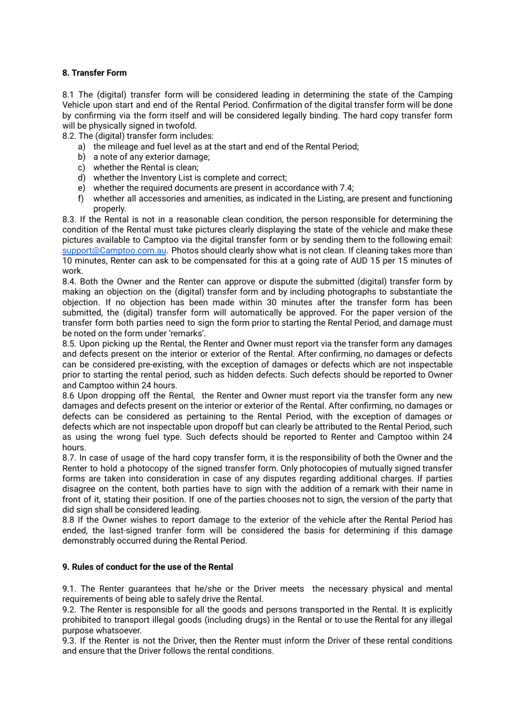# **8. Transfer Form**

8.1 The (digital) transfer form will be considered leading in determining the state of the Camping Vehicle upon start and end of the Rental Period. Confirmation of the digital transfer form will be done by confirming via the form itself and will be considered legally binding. The hard copy transfer form will be physically signed in twofold.

8.2. The (digital) transfer form includes:

- a) the mileage and fuel level as at the start and end of the Rental Period;
- b) a note of any exterior damage;
- c) whether the Rental is clean;
- d) whether the Inventory List is complete and correct;
- e) whether the required documents are present in accordance with 7.4;
- f) whether all accessories and amenities, as indicated in the Listing, are present and functioning properly.

8.3. If the Rental is not in a reasonable clean condition, the person responsible for determining the condition of the Rental must take pictures clearly displaying the state of the vehicle and make these pictures available to Camptoo via the digital transfer form or by sending them to the following email: [support@Camptoo.com.au](mailto:support@Camptoo.com.au). Photos should clearly show what is not clean. If cleaning takes more than 10 minutes, Renter can ask to be compensated for this at a going rate of AUD 15 per 15 minutes of work.

8.4. Both the Owner and the Renter can approve or dispute the submitted (digital) transfer form by making an objection on the (digital) transfer form and by including photographs to substantiate the objection. If no objection has been made within 30 minutes after the transfer form has been submitted, the (digital) transfer form will automatically be approved. For the paper version of the transfer form both parties need to sign the form prior to starting the Rental Period, and damage must be noted on the form under 'remarks'.

8.5. Upon picking up the Rental, the Renter and Owner must report via the transfer form any damages and defects present on the interior or exterior of the Rental. After confirming, no damages or defects can be considered pre-existing, with the exception of damages or defects which are not inspectable prior to starting the rental period, such as hidden defects. Such defects should be reported to Owner and Camptoo within 24 hours.

8.6 Upon dropping off the Rental, the Renter and Owner must report via the transfer form any new damages and defects present on the interior or exterior of the Rental. After confirming, no damages or defects can be considered as pertaining to the Rental Period, with the exception of damages or defects which are not inspectable upon dropoff but can clearly be attributed to the Rental Period, such as using the wrong fuel type. Such defects should be reported to Renter and Camptoo within 24 hours.

8.7. In case of usage of the hard copy transfer form, it is the responsibility of both the Owner and the Renter to hold a photocopy of the signed transfer form. Only photocopies of mutually signed transfer forms are taken into consideration in case of any disputes regarding additional charges. If parties disagree on the content, both parties have to sign with the addition of a remark with their name in front of it, stating their position. If one of the parties chooses not to sign, the version of the party that did sign shall be considered leading.

8.8 If the Owner wishes to report damage to the exterior of the vehicle after the Rental Period has ended, the last-signed tranfer form will be considered the basis for determining if this damage demonstrably occurred during the Rental Period.

# **9. Rules of conduct for the use of the Rental**

9.1. The Renter guarantees that he/she or the Driver meets the necessary physical and mental requirements of being able to safely drive the Rental.

9.2. The Renter is responsible for all the goods and persons transported in the Rental. It is explicitly prohibited to transport illegal goods (including drugs) in the Rental or to use the Rental for any illegal purpose whatsoever.

9.3. If the Renter is not the Driver, then the Renter must inform the Driver of these rental conditions and ensure that the Driver follows the rental conditions.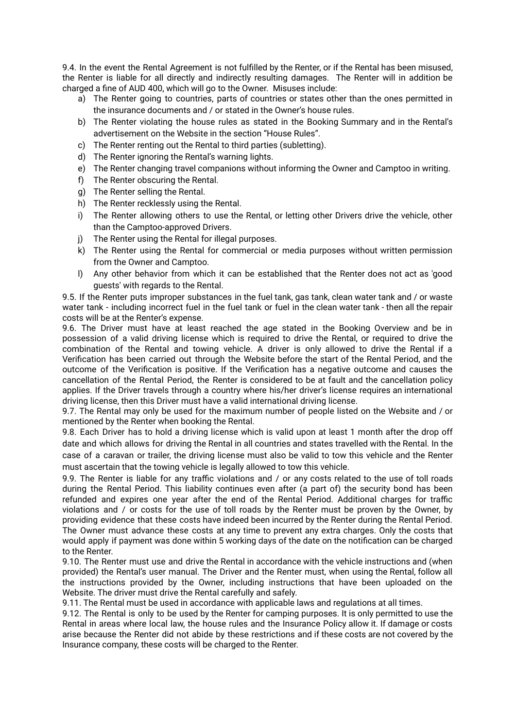9.4. In the event the Rental Agreement is not fulfilled by the Renter, or if the Rental has been misused, the Renter is liable for all directly and indirectly resulting damages. The Renter will in addition be charged a fine of AUD 400, which will go to the Owner. Misuses include:

- a) The Renter going to countries, parts of countries or states other than the ones permitted in the insurance documents and / or stated in the Owner's house rules.
- b) The Renter violating the house rules as stated in the Booking Summary and in the Rental's advertisement on the Website in the section "House Rules".
- c) The Renter renting out the Rental to third parties (subletting).
- d) The Renter ignoring the Rental's warning lights.
- e) The Renter changing travel companions without informing the Owner and Camptoo in writing.
- f) The Renter obscuring the Rental.
- g) The Renter selling the Rental.
- h) The Renter recklessly using the Rental.
- i) The Renter allowing others to use the Rental, or letting other Drivers drive the vehicle, other than the Camptoo-approved Drivers.
- j) The Renter using the Rental for illegal purposes.
- k) The Renter using the Rental for commercial or media purposes without written permission from the Owner and Camptoo.
- l) Any other behavior from which it can be established that the Renter does not act as 'good guests' with regards to the Rental.

9.5. If the Renter puts improper substances in the fuel tank, gas tank, clean water tank and / or waste water tank - including incorrect fuel in the fuel tank or fuel in the clean water tank - then all the repair costs will be at the Renter's expense.

9.6. The Driver must have at least reached the age stated in the Booking Overview and be in possession of a valid driving license which is required to drive the Rental, or required to drive the combination of the Rental and towing vehicle. A driver is only allowed to drive the Rental if a Verification has been carried out through the Website before the start of the Rental Period, and the outcome of the Verification is positive. If the Verification has a negative outcome and causes the cancellation of the Rental Period, the Renter is considered to be at fault and the cancellation policy applies. If the Driver travels through a country where his/her driver's license requires an international driving license, then this Driver must have a valid international driving license.

9.7. The Rental may only be used for the maximum number of people listed on the Website and / or mentioned by the Renter when booking the Rental.

9.8. Each Driver has to hold a driving license which is valid upon at least 1 month after the drop off date and which allows for driving the Rental in all countries and states travelled with the Rental. In the case of a caravan or trailer, the driving license must also be valid to tow this vehicle and the Renter must ascertain that the towing vehicle is legally allowed to tow this vehicle.

9.9. The Renter is liable for any traffic violations and / or any costs related to the use of toll roads during the Rental Period. This liability continues even after (a part of) the security bond has been refunded and expires one year after the end of the Rental Period. Additional charges for traffic violations and / or costs for the use of toll roads by the Renter must be proven by the Owner, by providing evidence that these costs have indeed been incurred by the Renter during the Rental Period. The Owner must advance these costs at any time to prevent any extra charges. Only the costs that would apply if payment was done within 5 working days of the date on the notification can be charged to the Renter.

9.10. The Renter must use and drive the Rental in accordance with the vehicle instructions and (when provided) the Rental's user manual. The Driver and the Renter must, when using the Rental, follow all the instructions provided by the Owner, including instructions that have been uploaded on the Website. The driver must drive the Rental carefully and safely.

9.11. The Rental must be used in accordance with applicable laws and regulations at all times.

9.12. The Rental is only to be used by the Renter for camping purposes. It is only permitted to use the Rental in areas where local law, the house rules and the Insurance Policy allow it. If damage or costs arise because the Renter did not abide by these restrictions and if these costs are not covered by the Insurance company, these costs will be charged to the Renter.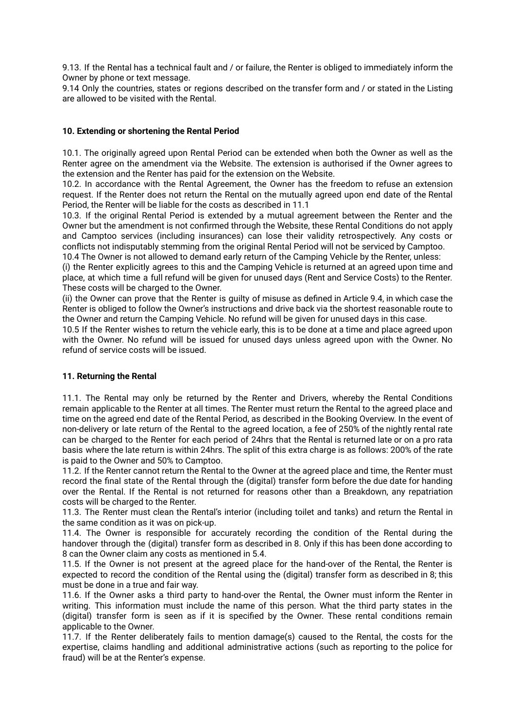9.13. If the Rental has a technical fault and / or failure, the Renter is obliged to immediately inform the Owner by phone or text message.

9.14 Only the countries, states or regions described on the transfer form and / or stated in the Listing are allowed to be visited with the Rental.

## **10. Extending or shortening the Rental Period**

10.1. The originally agreed upon Rental Period can be extended when both the Owner as well as the Renter agree on the amendment via the Website. The extension is authorised if the Owner agrees to the extension and the Renter has paid for the extension on the Website.

10.2. In accordance with the Rental Agreement, the Owner has the freedom to refuse an extension request. If the Renter does not return the Rental on the mutually agreed upon end date of the Rental Period, the Renter will be liable for the costs as described in 11.1

10.3. If the original Rental Period is extended by a mutual agreement between the Renter and the Owner but the amendment is not confirmed through the Website, these Rental Conditions do not apply and Camptoo services (including insurances) can lose their validity retrospectively. Any costs or conflicts not indisputably stemming from the original Rental Period will not be serviced by Camptoo. 10.4 The Owner is not allowed to demand early return of the Camping Vehicle by the Renter, unless:

(i) the Renter explicitly agrees to this and the Camping Vehicle is returned at an agreed upon time and place, at which time a full refund will be given for unused days (Rent and Service Costs) to the Renter. These costs will be charged to the Owner.

(ii) the Owner can prove that the Renter is guilty of misuse as defined in Article 9.4, in which case the Renter is obliged to follow the Owner's instructions and drive back via the shortest reasonable route to the Owner and return the Camping Vehicle. No refund will be given for unused days in this case.

10.5 If the Renter wishes to return the vehicle early, this is to be done at a time and place agreed upon with the Owner. No refund will be issued for unused days unless agreed upon with the Owner. No refund of service costs will be issued.

#### **11. Returning the Rental**

11.1. The Rental may only be returned by the Renter and Drivers, whereby the Rental Conditions remain applicable to the Renter at all times. The Renter must return the Rental to the agreed place and time on the agreed end date of the Rental Period, as described in the Booking Overview. In the event of non-delivery or late return of the Rental to the agreed location, a fee of 250% of the nightly rental rate can be charged to the Renter for each period of 24hrs that the Rental is returned late or on a pro rata basis where the late return is within 24hrs. The split of this extra charge is as follows: 200% of the rate is paid to the Owner and 50% to Camptoo.

11.2. If the Renter cannot return the Rental to the Owner at the agreed place and time, the Renter must record the final state of the Rental through the (digital) transfer form before the due date for handing over the Rental. If the Rental is not returned for reasons other than a Breakdown, any repatriation costs will be charged to the Renter.

11.3. The Renter must clean the Rental's interior (including toilet and tanks) and return the Rental in the same condition as it was on pick-up.

11.4. The Owner is responsible for accurately recording the condition of the Rental during the handover through the (digital) transfer form as described in 8. Only if this has been done according to 8 can the Owner claim any costs as mentioned in 5.4.

11.5. If the Owner is not present at the agreed place for the hand-over of the Rental, the Renter is expected to record the condition of the Rental using the (digital) transfer form as described in 8; this must be done in a true and fair way.

11.6. If the Owner asks a third party to hand-over the Rental, the Owner must inform the Renter in writing. This information must include the name of this person. What the third party states in the (digital) transfer form is seen as if it is specified by the Owner. These rental conditions remain applicable to the Owner.

11.7. If the Renter deliberately fails to mention damage(s) caused to the Rental, the costs for the expertise, claims handling and additional administrative actions (such as reporting to the police for fraud) will be at the Renter's expense.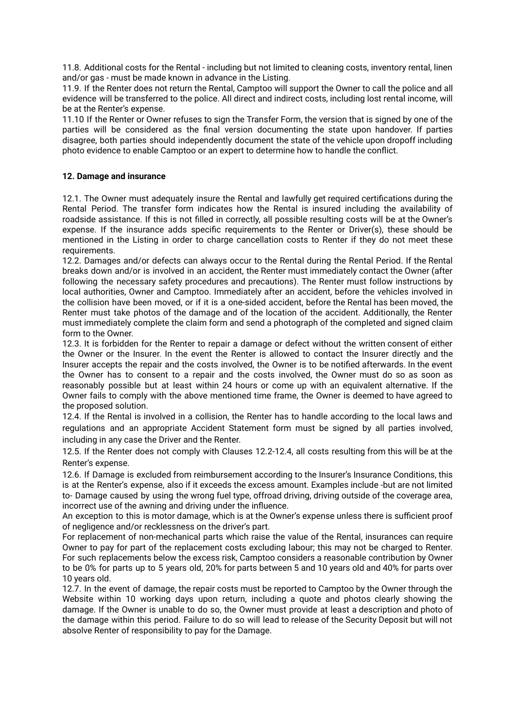11.8. Additional costs for the Rental - including but not limited to cleaning costs, inventory rental, linen and/or gas - must be made known in advance in the Listing.

11.9. If the Renter does not return the Rental, Camptoo will support the Owner to call the police and all evidence will be transferred to the police. All direct and indirect costs, including lost rental income, will be at the Renter's expense.

11.10 If the Renter or Owner refuses to sign the Transfer Form, the version that is signed by one of the parties will be considered as the final version documenting the state upon handover. If parties disagree, both parties should independently document the state of the vehicle upon dropoff including photo evidence to enable Camptoo or an expert to determine how to handle the conflict.

## **12. Damage and insurance**

12.1. The Owner must adequately insure the Rental and lawfully get required certifications during the Rental Period. The transfer form indicates how the Rental is insured including the availability of roadside assistance. If this is not filled in correctly, all possible resulting costs will be at the Owner's expense. If the insurance adds specific requirements to the Renter or Driver(s), these should be mentioned in the Listing in order to charge cancellation costs to Renter if they do not meet these requirements.

12.2. Damages and/or defects can always occur to the Rental during the Rental Period. If the Rental breaks down and/or is involved in an accident, the Renter must immediately contact the Owner (after following the necessary safety procedures and precautions). The Renter must follow instructions by local authorities, Owner and Camptoo. Immediately after an accident, before the vehicles involved in the collision have been moved, or if it is a one-sided accident, before the Rental has been moved, the Renter must take photos of the damage and of the location of the accident. Additionally, the Renter must immediately complete the claim form and send a photograph of the completed and signed claim form to the Owner.

12.3. It is forbidden for the Renter to repair a damage or defect without the written consent of either the Owner or the Insurer. In the event the Renter is allowed to contact the Insurer directly and the Insurer accepts the repair and the costs involved, the Owner is to be notified afterwards. In the event the Owner has to consent to a repair and the costs involved, the Owner must do so as soon as reasonably possible but at least within 24 hours or come up with an equivalent alternative. If the Owner fails to comply with the above mentioned time frame, the Owner is deemed to have agreed to the proposed solution.

12.4. If the Rental is involved in a collision, the Renter has to handle according to the local laws and regulations and an appropriate Accident Statement form must be signed by all parties involved, including in any case the Driver and the Renter.

12.5. If the Renter does not comply with Clauses 12.2-12.4, all costs resulting from this will be at the Renter's expense.

12.6. If Damage is excluded from reimbursement according to the Insurer's Insurance Conditions, this is at the Renter's expense, also if it exceeds the excess amount. Examples include -but are not limited to- Damage caused by using the wrong fuel type, offroad driving, driving outside of the coverage area, incorrect use of the awning and driving under the influence.

An exception to this is motor damage, which is at the Owner's expense unless there is sufficient proof of negligence and/or recklessness on the driver's part.

For replacement of non-mechanical parts which raise the value of the Rental, insurances can require Owner to pay for part of the replacement costs excluding labour; this may not be charged to Renter. For such replacements below the excess risk, Camptoo considers a reasonable contribution by Owner to be 0% for parts up to 5 years old, 20% for parts between 5 and 10 years old and 40% for parts over 10 years old.

12.7. In the event of damage, the repair costs must be reported to Camptoo by the Owner through the Website within 10 working days upon return, including a quote and photos clearly showing the damage. If the Owner is unable to do so, the Owner must provide at least a description and photo of the damage within this period. Failure to do so will lead to release of the Security Deposit but will not absolve Renter of responsibility to pay for the Damage.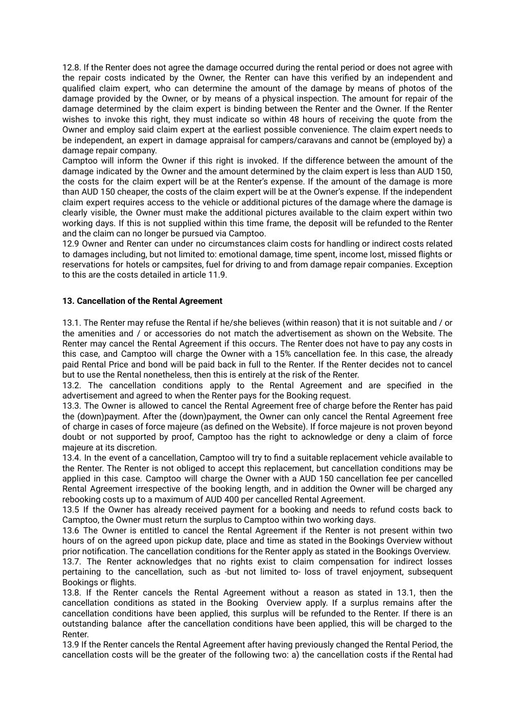12.8. If the Renter does not agree the damage occurred during the rental period or does not agree with the repair costs indicated by the Owner, the Renter can have this verified by an independent and qualified claim expert, who can determine the amount of the damage by means of photos of the damage provided by the Owner, or by means of a physical inspection. The amount for repair of the damage determined by the claim expert is binding between the Renter and the Owner. If the Renter wishes to invoke this right, they must indicate so within 48 hours of receiving the quote from the Owner and employ said claim expert at the earliest possible convenience. The claim expert needs to be independent, an expert in damage appraisal for campers/caravans and cannot be (employed by) a damage repair company.

Camptoo will inform the Owner if this right is invoked. If the difference between the amount of the damage indicated by the Owner and the amount determined by the claim expert is less than AUD 150, the costs for the claim expert will be at the Renter's expense. If the amount of the damage is more than AUD 150 cheaper, the costs of the claim expert will be at the Owner's expense. If the independent claim expert requires access to the vehicle or additional pictures of the damage where the damage is clearly visible, the Owner must make the additional pictures available to the claim expert within two working days. If this is not supplied within this time frame, the deposit will be refunded to the Renter and the claim can no longer be pursued via Camptoo.

12.9 Owner and Renter can under no circumstances claim costs for handling or indirect costs related to damages including, but not limited to: emotional damage, time spent, income lost, missed flights or reservations for hotels or campsites, fuel for driving to and from damage repair companies. Exception to this are the costs detailed in article 11.9.

### **13. Cancellation of the Rental Agreement**

13.1. The Renter may refuse the Rental if he/she believes (within reason) that it is not suitable and / or the amenities and / or accessories do not match the advertisement as shown on the Website. The Renter may cancel the Rental Agreement if this occurs. The Renter does not have to pay any costs in this case, and Camptoo will charge the Owner with a 15% cancellation fee. In this case, the already paid Rental Price and bond will be paid back in full to the Renter. If the Renter decides not to cancel but to use the Rental nonetheless, then this is entirely at the risk of the Renter.

13.2. The cancellation conditions apply to the Rental Agreement and are specified in the advertisement and agreed to when the Renter pays for the Booking request.

13.3. The Owner is allowed to cancel the Rental Agreement free of charge before the Renter has paid the (down)payment. After the (down)payment, the Owner can only cancel the Rental Agreement free of charge in cases of force majeure (as defined on the Website). If force majeure is not proven beyond doubt or not supported by proof, Camptoo has the right to acknowledge or deny a claim of force majeure at its discretion.

13.4. In the event of a cancellation, Camptoo will try to find a suitable replacement vehicle available to the Renter. The Renter is not obliged to accept this replacement, but cancellation conditions may be applied in this case. Camptoo will charge the Owner with a AUD 150 cancellation fee per cancelled Rental Agreement irrespective of the booking length, and in addition the Owner will be charged any rebooking costs up to a maximum of AUD 400 per cancelled Rental Agreement.

13.5 If the Owner has already received payment for a booking and needs to refund costs back to Camptoo, the Owner must return the surplus to Camptoo within two working days.

13.6 The Owner is entitled to cancel the Rental Agreement if the Renter is not present within two hours of on the agreed upon pickup date, place and time as stated in the Bookings Overview without prior notification. The cancellation conditions for the Renter apply as stated in the Bookings Overview.

13.7. The Renter acknowledges that no rights exist to claim compensation for indirect losses pertaining to the cancellation, such as -but not limited to- loss of travel enjoyment, subsequent Bookings or flights.

13.8. If the Renter cancels the Rental Agreement without a reason as stated in 13.1, then the cancellation conditions as stated in the Booking Overview apply. If a surplus remains after the cancellation conditions have been applied, this surplus will be refunded to the Renter. If there is an outstanding balance after the cancellation conditions have been applied, this will be charged to the Renter.

13.9 If the Renter cancels the Rental Agreement after having previously changed the Rental Period, the cancellation costs will be the greater of the following two: a) the cancellation costs if the Rental had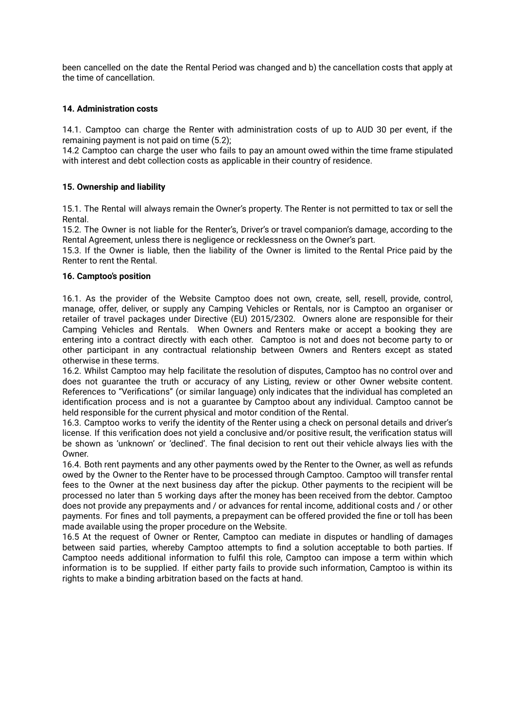been cancelled on the date the Rental Period was changed and b) the cancellation costs that apply at the time of cancellation.

# **14. Administration costs**

14.1. Camptoo can charge the Renter with administration costs of up to AUD 30 per event, if the remaining payment is not paid on time (5.2);

14.2 Camptoo can charge the user who fails to pay an amount owed within the time frame stipulated with interest and debt collection costs as applicable in their country of residence.

### **15. Ownership and liability**

15.1. The Rental will always remain the Owner's property. The Renter is not permitted to tax or sell the Rental.

15.2. The Owner is not liable for the Renter's, Driver's or travel companion's damage, according to the Rental Agreement, unless there is negligence or recklessness on the Owner's part.

15.3. If the Owner is liable, then the liability of the Owner is limited to the Rental Price paid by the Renter to rent the Rental.

#### **16. Camptoo's position**

16.1. As the provider of the Website Camptoo does not own, create, sell, resell, provide, control, manage, offer, deliver, or supply any Camping Vehicles or Rentals, nor is Camptoo an organiser or retailer of travel packages under Directive (EU) 2015/2302. Owners alone are responsible for their Camping Vehicles and Rentals. When Owners and Renters make or accept a booking they are entering into a contract directly with each other. Camptoo is not and does not become party to or other participant in any contractual relationship between Owners and Renters except as stated otherwise in these terms.

16.2. Whilst Camptoo may help facilitate the resolution of disputes, Camptoo has no control over and does not guarantee the truth or accuracy of any Listing, review or other Owner website content. References to "Verifications" (or similar language) only indicates that the individual has completed an identification process and is not a guarantee by Camptoo about any individual. Camptoo cannot be held responsible for the current physical and motor condition of the Rental.

16.3. Camptoo works to verify the identity of the Renter using a check on personal details and driver's license. If this verification does not yield a conclusive and/or positive result, the verification status will be shown as 'unknown' or 'declined'. The final decision to rent out their vehicle always lies with the Owner.

16.4. Both rent payments and any other payments owed by the Renter to the Owner, as well as refunds owed by the Owner to the Renter have to be processed through Camptoo. Camptoo will transfer rental fees to the Owner at the next business day after the pickup. Other payments to the recipient will be processed no later than 5 working days after the money has been received from the debtor. Camptoo does not provide any prepayments and / or advances for rental income, additional costs and / or other payments. For fines and toll payments, a prepayment can be offered provided the fine or toll has been made available using the proper procedure on the Website.

16.5 At the request of Owner or Renter, Camptoo can mediate in disputes or handling of damages between said parties, whereby Camptoo attempts to find a solution acceptable to both parties. If Camptoo needs additional information to fulfil this role, Camptoo can impose a term within which information is to be supplied. If either party fails to provide such information, Camptoo is within its rights to make a binding arbitration based on the facts at hand.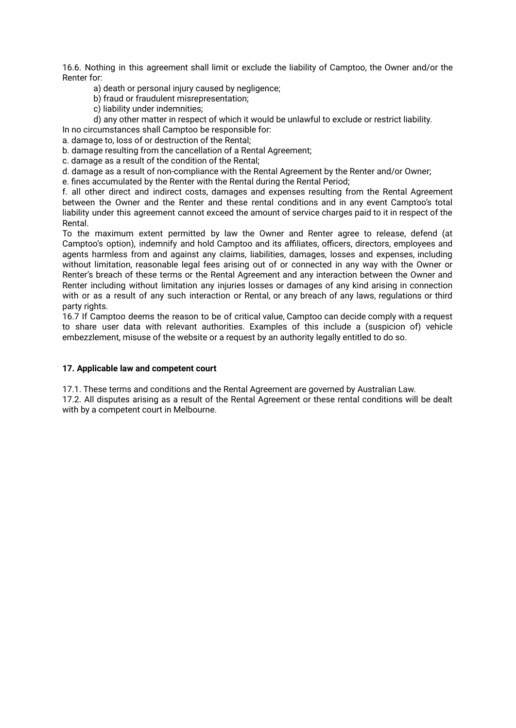16.6. Nothing in this agreement shall limit or exclude the liability of Camptoo, the Owner and/or the Renter for:

a) death or personal injury caused by negligence;

b) fraud or fraudulent misrepresentation;

c) liability under indemnities;

d) any other matter in respect of which it would be unlawful to exclude or restrict liability.

In no circumstances shall Camptoo be responsible for:

a. damage to, loss of or destruction of the Rental;

b. damage resulting from the cancellation of a Rental Agreement;

c. damage as a result of the condition of the Rental;

d. damage as a result of non-compliance with the Rental Agreement by the Renter and/or Owner;

e. fines accumulated by the Renter with the Rental during the Rental Period;

f. all other direct and indirect costs, damages and expenses resulting from the Rental Agreement between the Owner and the Renter and these rental conditions and in any event Camptoo's total liability under this agreement cannot exceed the amount of service charges paid to it in respect of the Rental.

To the maximum extent permitted by law the Owner and Renter agree to release, defend (at Camptoo's option), indemnify and hold Camptoo and its affiliates, officers, directors, employees and agents harmless from and against any claims, liabilities, damages, losses and expenses, including without limitation, reasonable legal fees arising out of or connected in any way with the Owner or Renter's breach of these terms or the Rental Agreement and any interaction between the Owner and Renter including without limitation any injuries losses or damages of any kind arising in connection with or as a result of any such interaction or Rental, or any breach of any laws, regulations or third party rights.

16.7 If Camptoo deems the reason to be of critical value, Camptoo can decide comply with a request to share user data with relevant authorities. Examples of this include a (suspicion of) vehicle embezzlement, misuse of the website or a request by an authority legally entitled to do so.

#### **17. Applicable law and competent court**

17.1. These terms and conditions and the Rental Agreement are governed by Australian Law.

17.2. All disputes arising as a result of the Rental Agreement or these rental conditions will be dealt with by a competent court in Melbourne.